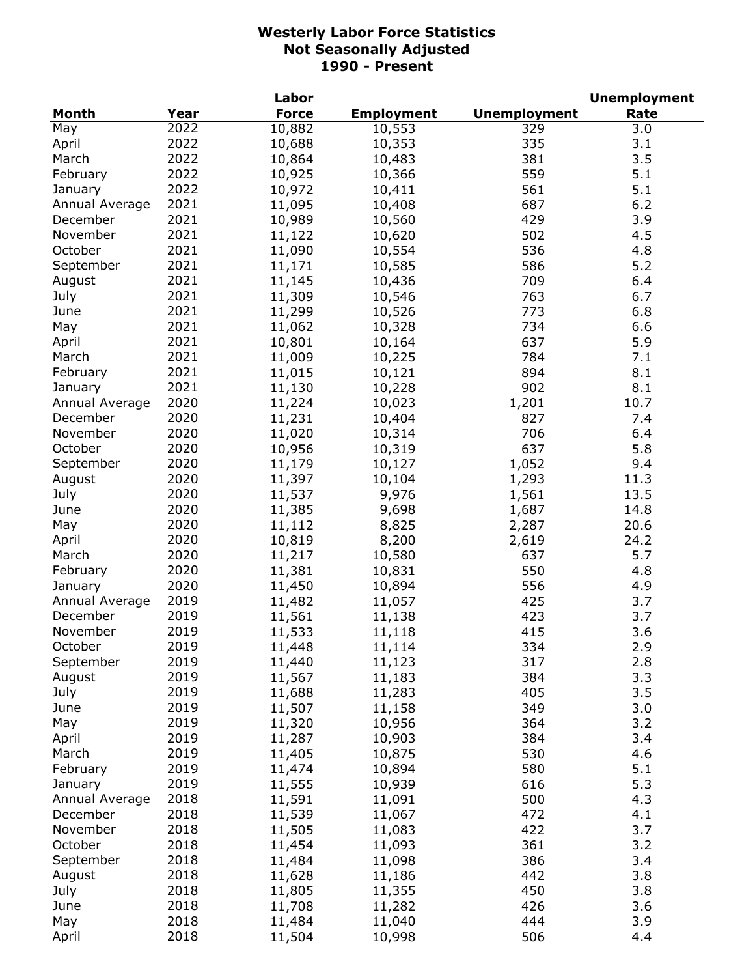|                |      | Labor        |                   |                     | <b>Unemployment</b> |
|----------------|------|--------------|-------------------|---------------------|---------------------|
| <b>Month</b>   | Year | <b>Force</b> | <b>Employment</b> | <b>Unemployment</b> | Rate                |
| May            | 2022 | 10,882       | 10,553            | 329                 | 3.0                 |
| April          | 2022 | 10,688       | 10,353            | 335                 | 3.1                 |
| March          | 2022 | 10,864       | 10,483            | 381                 | 3.5                 |
| February       | 2022 | 10,925       | 10,366            | 559                 | 5.1                 |
| January        | 2022 | 10,972       | 10,411            | 561                 | 5.1                 |
| Annual Average | 2021 | 11,095       | 10,408            | 687                 | 6.2                 |
| December       | 2021 | 10,989       | 10,560            | 429                 | 3.9                 |
| November       | 2021 | 11,122       | 10,620            | 502                 | 4.5                 |
| October        | 2021 | 11,090       | 10,554            | 536                 | 4.8                 |
| September      | 2021 | 11,171       | 10,585            | 586                 | 5.2                 |
| August         | 2021 | 11,145       | 10,436            | 709                 | 6.4                 |
| July           | 2021 | 11,309       | 10,546            | 763                 | 6.7                 |
| June           | 2021 | 11,299       | 10,526            | 773                 | 6.8                 |
|                | 2021 | 11,062       |                   | 734                 | 6.6                 |
| May            | 2021 |              | 10,328            |                     |                     |
| April          |      | 10,801       | 10,164            | 637                 | 5.9                 |
| March          | 2021 | 11,009       | 10,225            | 784                 | 7.1                 |
| February       | 2021 | 11,015       | 10,121            | 894                 | 8.1                 |
| January        | 2021 | 11,130       | 10,228            | 902                 | 8.1                 |
| Annual Average | 2020 | 11,224       | 10,023            | 1,201               | 10.7                |
| December       | 2020 | 11,231       | 10,404            | 827                 | 7.4                 |
| November       | 2020 | 11,020       | 10,314            | 706                 | 6.4                 |
| October        | 2020 | 10,956       | 10,319            | 637                 | 5.8                 |
| September      | 2020 | 11,179       | 10,127            | 1,052               | 9.4                 |
| August         | 2020 | 11,397       | 10,104            | 1,293               | 11.3                |
| July           | 2020 | 11,537       | 9,976             | 1,561               | 13.5                |
| June           | 2020 | 11,385       | 9,698             | 1,687               | 14.8                |
| May            | 2020 | 11,112       | 8,825             | 2,287               | 20.6                |
| April          | 2020 | 10,819       | 8,200             | 2,619               | 24.2                |
| March          | 2020 | 11,217       | 10,580            | 637                 | 5.7                 |
| February       | 2020 | 11,381       | 10,831            | 550                 | 4.8                 |
| January        | 2020 | 11,450       | 10,894            | 556                 | 4.9                 |
| Annual Average | 2019 | 11,482       | 11,057            | 425                 | 3.7                 |
| December       | 2019 | 11,561       | 11,138            | 423                 | 3.7                 |
| November       | 2019 | 11,533       | 11,118            | 415                 | 3.6                 |
| October        | 2019 | 11,448       | 11,114            | 334                 | 2.9                 |
| September      | 2019 | 11,440       | 11,123            | 317                 | 2.8                 |
| August         | 2019 | 11,567       | 11,183            | 384                 | 3.3                 |
| July           | 2019 | 11,688       | 11,283            | 405                 | 3.5                 |
| June           | 2019 | 11,507       | 11,158            | 349                 | 3.0                 |
| May            | 2019 | 11,320       | 10,956            | 364                 | 3.2                 |
| April          | 2019 | 11,287       | 10,903            | 384                 | 3.4                 |
| March          | 2019 | 11,405       | 10,875            | 530                 | 4.6                 |
| February       | 2019 | 11,474       | 10,894            | 580                 | 5.1                 |
| January        | 2019 | 11,555       | 10,939            | 616                 | 5.3                 |
| Annual Average | 2018 | 11,591       |                   | 500                 | 4.3                 |
| December       | 2018 |              | 11,091            |                     | 4.1                 |
|                |      | 11,539       | 11,067            | 472                 |                     |
| November       | 2018 | 11,505       | 11,083            | 422                 | 3.7                 |
| October        | 2018 | 11,454       | 11,093            | 361                 | 3.2                 |
| September      | 2018 | 11,484       | 11,098            | 386                 | 3.4                 |
| August         | 2018 | 11,628       | 11,186            | 442                 | 3.8                 |
| July           | 2018 | 11,805       | 11,355            | 450                 | 3.8                 |
| June           | 2018 | 11,708       | 11,282            | 426                 | 3.6                 |
| May            | 2018 | 11,484       | 11,040            | 444                 | 3.9                 |
| April          | 2018 | 11,504       | 10,998            | 506                 | 4.4                 |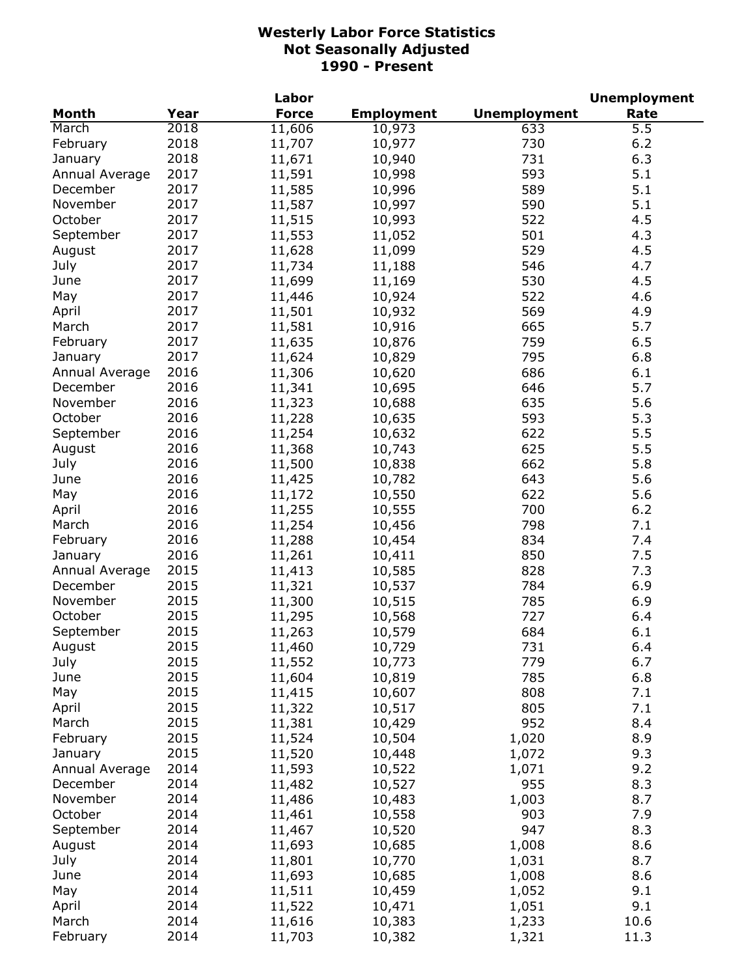|                |      | Labor        |                   |                     | <b>Unemployment</b> |
|----------------|------|--------------|-------------------|---------------------|---------------------|
| Month          | Year | <b>Force</b> | <b>Employment</b> | <b>Unemployment</b> | Rate                |
| March          | 2018 | 11,606       | 10,973            | 633                 | 5.5                 |
| February       | 2018 | 11,707       | 10,977            | 730                 | 6.2                 |
| January        | 2018 | 11,671       | 10,940            | 731                 | 6.3                 |
| Annual Average | 2017 | 11,591       | 10,998            | 593                 | 5.1                 |
| December       | 2017 | 11,585       | 10,996            | 589                 | 5.1                 |
| November       | 2017 | 11,587       | 10,997            | 590                 | 5.1                 |
| October        | 2017 | 11,515       | 10,993            | 522                 | 4.5                 |
| September      | 2017 | 11,553       | 11,052            | 501                 | 4.3                 |
| August         | 2017 | 11,628       | 11,099            | 529                 | 4.5                 |
| July           | 2017 | 11,734       | 11,188            | 546                 | 4.7                 |
| June           | 2017 | 11,699       | 11,169            | 530                 | 4.5                 |
| May            | 2017 | 11,446       | 10,924            | 522                 | 4.6                 |
| April          | 2017 | 11,501       | 10,932            | 569                 | 4.9                 |
| March          | 2017 | 11,581       | 10,916            | 665                 | 5.7                 |
| February       | 2017 | 11,635       | 10,876            | 759                 | 6.5                 |
| January        | 2017 | 11,624       | 10,829            | 795                 | 6.8                 |
| Annual Average | 2016 | 11,306       | 10,620            | 686                 | 6.1                 |
| December       | 2016 | 11,341       | 10,695            | 646                 | 5.7                 |
| November       | 2016 | 11,323       | 10,688            | 635                 | 5.6                 |
| October        | 2016 | 11,228       | 10,635            | 593                 | 5.3                 |
| September      | 2016 | 11,254       | 10,632            | 622                 | 5.5                 |
| August         | 2016 | 11,368       | 10,743            | 625                 | 5.5                 |
| July           | 2016 | 11,500       | 10,838            | 662                 | 5.8                 |
| June           | 2016 | 11,425       | 10,782            | 643                 | 5.6                 |
| May            | 2016 | 11,172       | 10,550            | 622                 | 5.6                 |
| April          | 2016 | 11,255       | 10,555            | 700                 | 6.2                 |
| March          | 2016 | 11,254       | 10,456            | 798                 | 7.1                 |
| February       | 2016 | 11,288       | 10,454            | 834                 | 7.4                 |
| January        | 2016 | 11,261       | 10,411            | 850                 | 7.5                 |
| Annual Average | 2015 | 11,413       | 10,585            | 828                 | 7.3                 |
| December       | 2015 | 11,321       | 10,537            | 784                 | 6.9                 |
| November       | 2015 | 11,300       | 10,515            | 785                 | 6.9                 |
| October        | 2015 | 11,295       | 10,568            | 727                 | 6.4                 |
| September      | 2015 | 11,263       | 10,579            | 684                 | 6.1                 |
| August         | 2015 | 11,460       | 10,729            | 731                 | 6.4                 |
| July           | 2015 | 11,552       | 10,773            | 779                 | 6.7                 |
| June           | 2015 | 11,604       | 10,819            | 785                 | 6.8                 |
| May            | 2015 | 11,415       | 10,607            | 808                 | 7.1                 |
| April          | 2015 | 11,322       | 10,517            | 805                 | 7.1                 |
| March          | 2015 | 11,381       | 10,429            | 952                 | 8.4                 |
| February       | 2015 | 11,524       | 10,504            | 1,020               | 8.9                 |
| January        | 2015 | 11,520       | 10,448            | 1,072               | 9.3                 |
| Annual Average | 2014 | 11,593       | 10,522            | 1,071               | 9.2                 |
| December       | 2014 | 11,482       | 10,527            | 955                 | 8.3                 |
| November       | 2014 | 11,486       | 10,483            | 1,003               | 8.7                 |
| October        | 2014 | 11,461       | 10,558            | 903                 | 7.9                 |
| September      | 2014 | 11,467       | 10,520            | 947                 | 8.3                 |
| August         | 2014 | 11,693       | 10,685            | 1,008               | 8.6                 |
| July           | 2014 | 11,801       | 10,770            | 1,031               | 8.7                 |
| June           | 2014 | 11,693       | 10,685            | 1,008               | 8.6                 |
| May            | 2014 | 11,511       | 10,459            | 1,052               | 9.1                 |
| April          | 2014 | 11,522       | 10,471            | 1,051               | 9.1                 |
| March          | 2014 | 11,616       | 10,383            | 1,233               | 10.6                |
| February       | 2014 | 11,703       | 10,382            | 1,321               | 11.3                |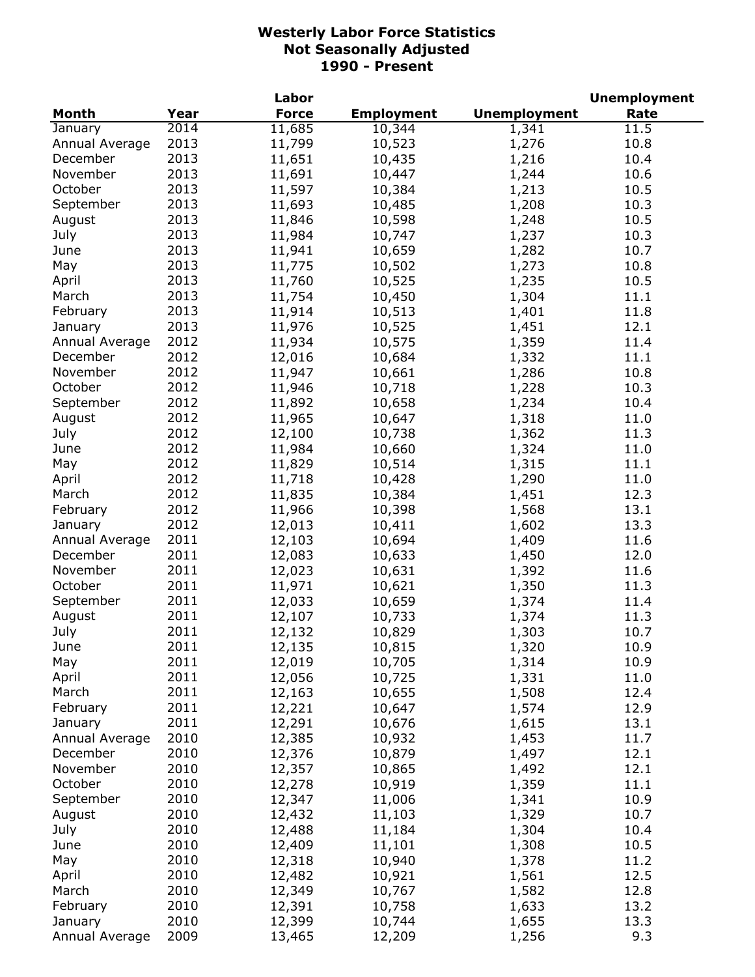|                |      | Labor        |                   |                     | <b>Unemployment</b> |
|----------------|------|--------------|-------------------|---------------------|---------------------|
| <b>Month</b>   | Year | <b>Force</b> | <b>Employment</b> | <b>Unemployment</b> | Rate                |
| January        | 2014 | 11,685       | 10,344            | 1,341               | 11.5                |
| Annual Average | 2013 | 11,799       | 10,523            | 1,276               | 10.8                |
| December       | 2013 | 11,651       | 10,435            | 1,216               | 10.4                |
| November       | 2013 | 11,691       | 10,447            | 1,244               | 10.6                |
| October        | 2013 | 11,597       | 10,384            | 1,213               | 10.5                |
| September      | 2013 | 11,693       | 10,485            | 1,208               | 10.3                |
| August         | 2013 | 11,846       | 10,598            | 1,248               | 10.5                |
| July           | 2013 | 11,984       | 10,747            | 1,237               | 10.3                |
| June           | 2013 | 11,941       | 10,659            | 1,282               | 10.7                |
| May            | 2013 | 11,775       | 10,502            | 1,273               | 10.8                |
| April          | 2013 | 11,760       | 10,525            | 1,235               | 10.5                |
| March          | 2013 | 11,754       | 10,450            | 1,304               | 11.1                |
| February       | 2013 | 11,914       | 10,513            | 1,401               | 11.8                |
| January        | 2013 | 11,976       | 10,525            | 1,451               | 12.1                |
| Annual Average | 2012 | 11,934       | 10,575            | 1,359               | 11.4                |
| December       | 2012 | 12,016       | 10,684            | 1,332               | 11.1                |
| November       | 2012 | 11,947       | 10,661            | 1,286               | 10.8                |
| October        | 2012 |              |                   |                     |                     |
| September      | 2012 | 11,946       | 10,718            | 1,228               | 10.3                |
|                |      | 11,892       | 10,658            | 1,234               | 10.4                |
| August         | 2012 | 11,965       | 10,647            | 1,318               | 11.0                |
| July           | 2012 | 12,100       | 10,738            | 1,362               | 11.3                |
| June           | 2012 | 11,984       | 10,660            | 1,324               | 11.0                |
| May            | 2012 | 11,829       | 10,514            | 1,315               | 11.1                |
| April          | 2012 | 11,718       | 10,428            | 1,290               | 11.0                |
| March          | 2012 | 11,835       | 10,384            | 1,451               | 12.3                |
| February       | 2012 | 11,966       | 10,398            | 1,568               | 13.1                |
| January        | 2012 | 12,013       | 10,411            | 1,602               | 13.3                |
| Annual Average | 2011 | 12,103       | 10,694            | 1,409               | 11.6                |
| December       | 2011 | 12,083       | 10,633            | 1,450               | 12.0                |
| November       | 2011 | 12,023       | 10,631            | 1,392               | 11.6                |
| October        | 2011 | 11,971       | 10,621            | 1,350               | 11.3                |
| September      | 2011 | 12,033       | 10,659            | 1,374               | 11.4                |
| August         | 2011 | 12,107       | 10,733            | 1,374               | 11.3                |
| July           | 2011 | 12,132       | 10,829            | 1,303               | 10.7                |
| June           | 2011 | 12,135       | 10,815            | 1,320               | 10.9                |
| May            | 2011 | 12,019       | 10,705            | 1,314               | 10.9                |
| April          | 2011 | 12,056       | 10,725            | 1,331               | 11.0                |
| March          | 2011 | 12,163       | 10,655            | 1,508               | 12.4                |
| February       | 2011 | 12,221       | 10,647            | 1,574               | 12.9                |
| January        | 2011 | 12,291       | 10,676            | 1,615               | 13.1                |
| Annual Average | 2010 | 12,385       | 10,932            | 1,453               | 11.7                |
| December       | 2010 | 12,376       | 10,879            | 1,497               | 12.1                |
| November       | 2010 | 12,357       | 10,865            | 1,492               | 12.1                |
| October        | 2010 | 12,278       | 10,919            | 1,359               | 11.1                |
| September      | 2010 | 12,347       | 11,006            | 1,341               | 10.9                |
| August         | 2010 | 12,432       | 11,103            | 1,329               | 10.7                |
| July           | 2010 | 12,488       | 11,184            | 1,304               | 10.4                |
| June           | 2010 | 12,409       | 11,101            | 1,308               | 10.5                |
| May            | 2010 | 12,318       | 10,940            | 1,378               | 11.2                |
| April          | 2010 | 12,482       | 10,921            | 1,561               | 12.5                |
| March          | 2010 | 12,349       | 10,767            | 1,582               | 12.8                |
| February       | 2010 | 12,391       | 10,758            | 1,633               | 13.2                |
| January        | 2010 | 12,399       | 10,744            | 1,655               | 13.3                |
| Annual Average | 2009 | 13,465       | 12,209            | 1,256               | 9.3                 |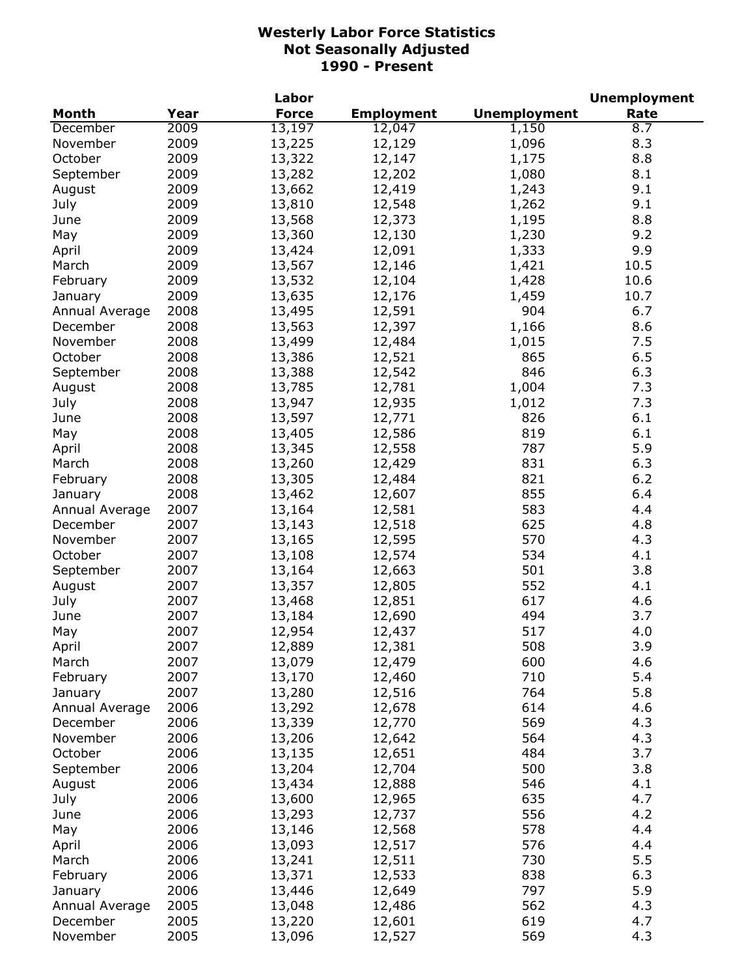|                |      | Labor            |                   |                     | <b>Unemployment</b> |
|----------------|------|------------------|-------------------|---------------------|---------------------|
| <b>Month</b>   | Year | <b>Force</b>     | <b>Employment</b> | <b>Unemployment</b> | Rate                |
| December       | 2009 | 13,197           | 12,047            | 1,150               | 8.7                 |
| November       | 2009 | 13,225           | 12,129            | 1,096               | 8.3                 |
| October        | 2009 | 13,322           | 12,147            | 1,175               | 8.8                 |
| September      | 2009 | 13,282           | 12,202            | 1,080               | 8.1                 |
| August         | 2009 | 13,662           | 12,419            | 1,243               | 9.1                 |
| July           | 2009 | 13,810           | 12,548            | 1,262               | 9.1                 |
| June           | 2009 | 13,568           | 12,373            | 1,195               | 8.8                 |
| May            | 2009 | 13,360           | 12,130            | 1,230               | 9.2                 |
| April          | 2009 | 13,424           | 12,091            | 1,333               | 9.9                 |
| March          | 2009 | 13,567           | 12,146            | 1,421               | 10.5                |
| February       | 2009 | 13,532           | 12,104            | 1,428               | 10.6                |
| January        | 2009 | 13,635           | 12,176            | 1,459               | 10.7                |
| Annual Average | 2008 | 13,495           | 12,591            | 904                 | 6.7                 |
| December       | 2008 | 13,563           | 12,397            | 1,166               | 8.6                 |
| November       | 2008 | 13,499           | 12,484            | 1,015               | 7.5                 |
| October        | 2008 | 13,386           | 12,521            | 865                 | 6.5                 |
| September      | 2008 | 13,388           | 12,542            | 846                 | 6.3                 |
| August         | 2008 | 13,785           | 12,781            | 1,004               | 7.3                 |
| July           | 2008 | 13,947           | 12,935            | 1,012               | 7.3                 |
| June           | 2008 | 13,597           | 12,771            | 826                 | 6.1                 |
| May            | 2008 | 13,405           | 12,586            | 819                 | 6.1                 |
| April          | 2008 | 13,345           | 12,558            | 787                 | 5.9                 |
| March          | 2008 | 13,260           | 12,429            | 831                 | 6.3                 |
| February       | 2008 | 13,305           | 12,484            | 821                 | 6.2                 |
| January        | 2008 | 13,462           | 12,607            | 855                 | 6.4                 |
| Annual Average | 2007 | 13,164           | 12,581            | 583                 | 4.4                 |
| December       | 2007 | 13,143           | 12,518            | 625                 | 4.8                 |
| November       | 2007 | 13,165           | 12,595            | 570                 | 4.3                 |
| October        | 2007 | 13,108           | 12,574            | 534                 | 4.1                 |
| September      | 2007 | 13,164           | 12,663            | 501                 | 3.8                 |
| August         | 2007 | 13,357           | 12,805            | 552                 | 4.1                 |
| July           | 2007 | 13,468           | 12,851            | 617                 | 4.6                 |
| June           | 2007 | 13,184           | 12,690            | 494                 | 3.7                 |
| May            | 2007 | 12,954           | 12,437            | 517                 | 4.0                 |
|                | 2007 |                  |                   | 508                 | 3.9                 |
| April<br>March | 2007 | 12,889<br>13,079 | 12,381<br>12,479  | 600                 | 4.6                 |
| February       | 2007 | 13,170           | 12,460            | 710                 | 5.4                 |
| January        | 2007 | 13,280           | 12,516            | 764                 | 5.8                 |
| Annual Average | 2006 | 13,292           | 12,678            | 614                 | 4.6                 |
| December       | 2006 | 13,339           | 12,770            | 569                 | 4.3                 |
| November       | 2006 | 13,206           | 12,642            | 564                 | 4.3                 |
| October        | 2006 | 13,135           | 12,651            | 484                 | 3.7                 |
| September      | 2006 | 13,204           | 12,704            | 500                 | 3.8                 |
|                | 2006 | 13,434           | 12,888            | 546                 | 4.1                 |
| August         | 2006 | 13,600           | 12,965            | 635                 | 4.7                 |
| July           |      |                  |                   |                     | 4.2                 |
| June           | 2006 | 13,293           | 12,737            | 556                 |                     |
| May            | 2006 | 13,146           | 12,568            | 578                 | 4.4                 |
| April          | 2006 | 13,093           | 12,517            | 576                 | 4.4                 |
| March          | 2006 | 13,241           | 12,511            | 730                 | 5.5                 |
| February       | 2006 | 13,371           | 12,533            | 838                 | 6.3                 |
| January        | 2006 | 13,446           | 12,649            | 797                 | 5.9                 |
| Annual Average | 2005 | 13,048           | 12,486            | 562                 | 4.3                 |
| December       | 2005 | 13,220           | 12,601            | 619                 | 4.7                 |
| November       | 2005 | 13,096           | 12,527            | 569                 | 4.3                 |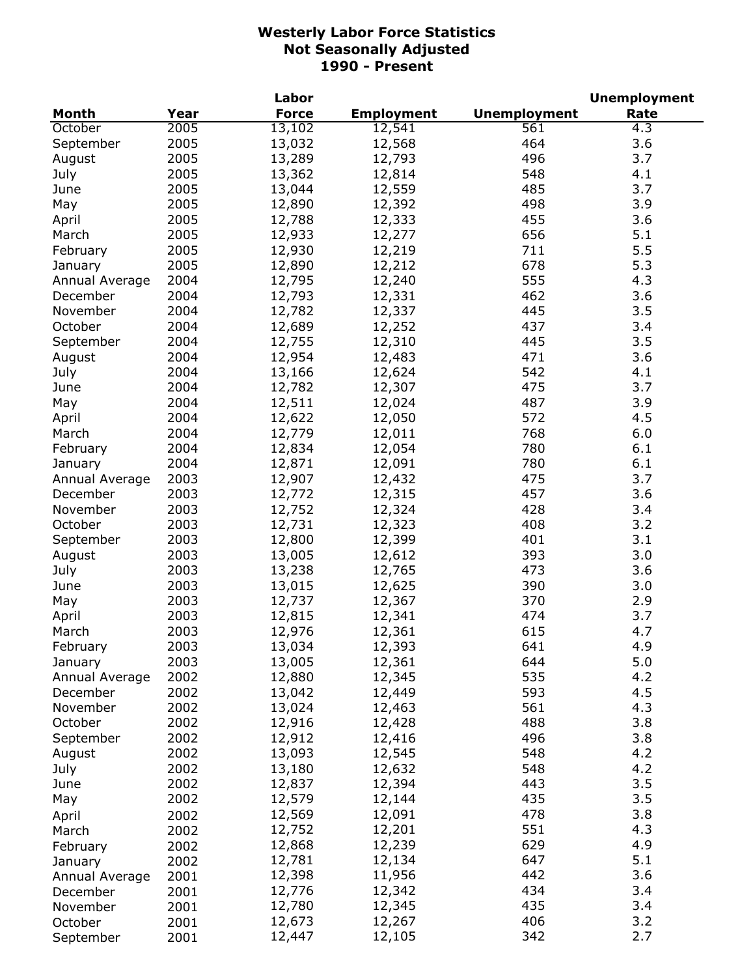|                |      | Labor        |                   |                     | <b>Unemployment</b> |
|----------------|------|--------------|-------------------|---------------------|---------------------|
| <b>Month</b>   | Year | <b>Force</b> | <b>Employment</b> | <b>Unemployment</b> | Rate                |
| October        | 2005 | 13,102       | 12,541            | 561                 | 4.3                 |
| September      | 2005 | 13,032       | 12,568            | 464                 | 3.6                 |
| August         | 2005 | 13,289       | 12,793            | 496                 | 3.7                 |
| July           | 2005 | 13,362       | 12,814            | 548                 | 4.1                 |
| June           | 2005 | 13,044       | 12,559            | 485                 | 3.7                 |
| May            | 2005 | 12,890       | 12,392            | 498                 | 3.9                 |
| April          | 2005 | 12,788       | 12,333            | 455                 | 3.6                 |
| March          | 2005 | 12,933       | 12,277            | 656                 | 5.1                 |
| February       | 2005 | 12,930       | 12,219            | 711                 | 5.5                 |
| January        | 2005 | 12,890       | 12,212            | 678                 | 5.3                 |
| Annual Average | 2004 | 12,795       | 12,240            | 555                 | 4.3                 |
| December       | 2004 | 12,793       | 12,331            | 462                 | 3.6                 |
| November       | 2004 | 12,782       | 12,337            | 445                 | 3.5                 |
| October        | 2004 | 12,689       | 12,252            | 437                 | 3.4                 |
| September      | 2004 | 12,755       | 12,310            | 445                 | 3.5                 |
| August         | 2004 | 12,954       | 12,483            | 471                 | 3.6                 |
| July           | 2004 | 13,166       | 12,624            | 542                 | 4.1                 |
| June           | 2004 | 12,782       | 12,307            | 475                 | 3.7                 |
|                | 2004 | 12,511       | 12,024            | 487                 | 3.9                 |
| May            | 2004 |              |                   | 572                 | 4.5                 |
| April          |      | 12,622       | 12,050            |                     |                     |
| March          | 2004 | 12,779       | 12,011            | 768                 | 6.0                 |
| February       | 2004 | 12,834       | 12,054            | 780                 | 6.1                 |
| January        | 2004 | 12,871       | 12,091            | 780                 | 6.1                 |
| Annual Average | 2003 | 12,907       | 12,432            | 475                 | 3.7                 |
| December       | 2003 | 12,772       | 12,315            | 457                 | 3.6                 |
| November       | 2003 | 12,752       | 12,324            | 428                 | 3.4                 |
| October        | 2003 | 12,731       | 12,323            | 408                 | 3.2                 |
| September      | 2003 | 12,800       | 12,399            | 401                 | 3.1                 |
| August         | 2003 | 13,005       | 12,612            | 393                 | 3.0                 |
| July           | 2003 | 13,238       | 12,765            | 473                 | 3.6                 |
| June           | 2003 | 13,015       | 12,625            | 390                 | 3.0                 |
| May            | 2003 | 12,737       | 12,367            | 370                 | 2.9                 |
| April          | 2003 | 12,815       | 12,341            | 474                 | 3.7                 |
| March          | 2003 | 12,976       | 12,361            | 615                 | 4.7                 |
| February       | 2003 | 13,034       | 12,393            | 641                 | 4.9                 |
| January        | 2003 | 13,005       | 12,361            | 644                 | 5.0                 |
| Annual Average | 2002 | 12,880       | 12,345            | 535                 | 4.2                 |
| December       | 2002 | 13,042       | 12,449            | 593                 | 4.5                 |
| November       | 2002 | 13,024       | 12,463            | 561                 | 4.3                 |
| October        | 2002 | 12,916       | 12,428            | 488                 | 3.8                 |
| September      | 2002 | 12,912       | 12,416            | 496                 | 3.8                 |
| August         | 2002 | 13,093       | 12,545            | 548                 | 4.2                 |
| July           | 2002 | 13,180       | 12,632            | 548                 | 4.2                 |
| June           | 2002 | 12,837       | 12,394            | 443                 | 3.5                 |
| May            | 2002 | 12,579       | 12,144            | 435                 | 3.5                 |
| April          | 2002 | 12,569       | 12,091            | 478                 | 3.8                 |
| March          | 2002 | 12,752       | 12,201            | 551                 | 4.3                 |
| February       | 2002 | 12,868       | 12,239            | 629                 | 4.9                 |
| January        | 2002 | 12,781       | 12,134            | 647                 | 5.1                 |
| Annual Average | 2001 | 12,398       | 11,956            | 442                 | 3.6                 |
| December       | 2001 | 12,776       | 12,342            | 434                 | 3.4                 |
| November       | 2001 | 12,780       | 12,345            | 435                 | 3.4                 |
| October        | 2001 | 12,673       | 12,267            | 406                 | 3.2                 |
| September      | 2001 | 12,447       | 12,105            | 342                 | 2.7                 |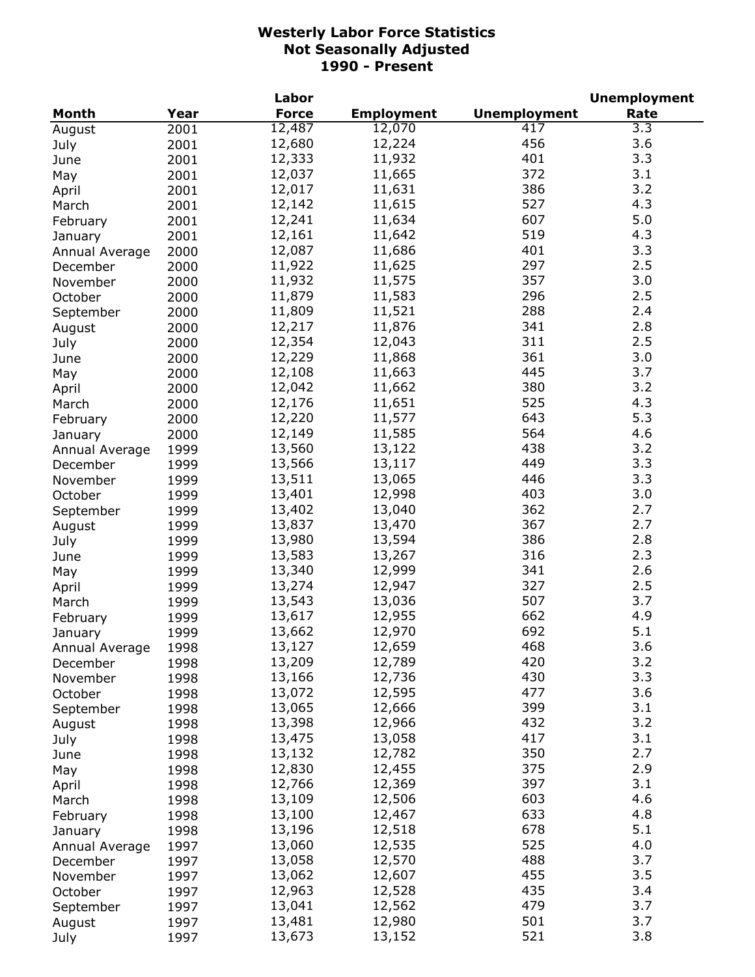| <b>Unemployment</b><br>Month<br>Year<br><b>Force</b><br><b>Employment</b><br>Rate<br>12,487<br>12,070<br>417<br>$\overline{3.3}$<br>2001<br>August<br>456<br>3.6<br>12,680<br>12,224<br>2001<br>July<br>401<br>3.3<br>12,333<br>11,932<br>2001<br>June<br>372<br>3.1<br>12,037<br>11,665<br>2001<br>May<br>386<br>3.2<br>12,017<br>11,631<br>2001<br>April<br>527<br>4.3<br>12,142<br>11,615<br>2001<br>March<br>607<br>5.0<br>12,241<br>11,634<br>2001<br>February<br>519<br>4.3<br>12,161<br>11,642<br>2001<br>January<br>12,087<br>401<br>3.3<br>11,686<br>2000<br>Annual Average<br>297<br>11,922<br>2.5<br>11,625<br>2000<br>December<br>3.0<br>11,932<br>11,575<br>357<br>2000<br>November<br>11,879<br>11,583<br>296<br>2.5<br>October<br>2000<br>11,809<br>11,521<br>288<br>2.4<br>2000<br>September<br>12,217<br>11,876<br>341<br>2.8<br>2000<br>August<br>12,354<br>311<br>2.5<br>12,043<br>2000<br>July<br>12,229<br>361<br>3.0<br>11,868<br>2000<br>June<br>3.7<br>12,108<br>445<br>11,663<br>2000<br>May<br>380<br>3.2<br>12,042<br>11,662<br>2000<br>April<br>525<br>4.3<br>12,176<br>11,651<br>2000<br>March<br>643<br>5.3<br>12,220<br>11,577<br>2000<br>February<br>12,149<br>564<br>4.6<br>11,585<br>2000<br>January<br>438<br>3.2<br>13,560<br>13,122<br>1999<br>Annual Average<br>3.3<br>449<br>13,566<br>13,117<br>1999<br>December<br>13,511<br>446<br>3.3<br>13,065<br>1999<br>November<br>13,401<br>403<br>3.0<br>12,998<br>1999<br>October<br>13,402<br>362<br>2.7<br>13,040<br>1999<br>September<br>2.7<br>13,837<br>13,470<br>367<br>1999<br>August<br>13,980<br>13,594<br>386<br>2.8<br>1999<br>July<br>13,583<br>316<br>2.3<br>13,267<br>1999<br>June<br>13,340<br>12,999<br>341<br>2.6<br>1999<br>May<br>327<br>13,274<br>12,947<br>2.5<br>1999<br>April<br>507<br>13,543<br>13,036<br>3.7<br>1999<br>March<br>662<br>13,617<br>4.9<br>12,955<br>1999<br>February<br>692<br>12,970<br>5.1<br>13,662<br>1999<br>January<br>468<br>3.6<br>13,127<br>12,659<br>Annual Average<br>1998<br>420<br>13,209<br>12,789<br>3.2<br>1998<br>December<br>430<br>3.3<br>13,166<br>12,736<br>1998<br>November<br>477<br>3.6<br>13,072<br>12,595<br>1998<br>October<br>399<br>3.1<br>13,065<br>12,666<br>1998<br>September<br>432<br>3.2<br>13,398<br>12,966<br>1998<br>August<br>417<br>3.1<br>13,475<br>13,058<br>July<br>1998<br>350<br>2.7<br>13,132<br>12,782<br>1998<br>June<br>375<br>2.9<br>12,830<br>12,455<br>1998<br>May<br>3.1<br>397<br>12,766<br>12,369<br>1998<br>April<br>13,109<br>603<br>4.6<br>12,506<br>1998<br>March<br>13,100<br>633<br>4.8<br>12,467<br>1998<br>February<br>5.1<br>13,196<br>12,518<br>678<br>1998<br>January<br>525<br>13,060<br>12,535<br>4.0<br>1997<br>Annual Average<br>488<br>3.7<br>13,058<br>12,570<br>1997<br>December<br>13,062<br>455<br>3.5<br>12,607<br>1997<br>November<br>435<br>3.4<br>12,963<br>12,528<br>1997<br>October<br>479<br>3.7<br>13,041<br>12,562<br>1997<br>September<br>501<br>3.7<br>13,481<br>12,980<br>1997<br>August |      |      | Labor  |        |     | <b>Unemployment</b> |
|------------------------------------------------------------------------------------------------------------------------------------------------------------------------------------------------------------------------------------------------------------------------------------------------------------------------------------------------------------------------------------------------------------------------------------------------------------------------------------------------------------------------------------------------------------------------------------------------------------------------------------------------------------------------------------------------------------------------------------------------------------------------------------------------------------------------------------------------------------------------------------------------------------------------------------------------------------------------------------------------------------------------------------------------------------------------------------------------------------------------------------------------------------------------------------------------------------------------------------------------------------------------------------------------------------------------------------------------------------------------------------------------------------------------------------------------------------------------------------------------------------------------------------------------------------------------------------------------------------------------------------------------------------------------------------------------------------------------------------------------------------------------------------------------------------------------------------------------------------------------------------------------------------------------------------------------------------------------------------------------------------------------------------------------------------------------------------------------------------------------------------------------------------------------------------------------------------------------------------------------------------------------------------------------------------------------------------------------------------------------------------------------------------------------------------------------------------------------------------------------------------------------------------------------------------------------------------------------------------------------------------------------------------------------------------------------------------------------------------------------------------------------------------------------------------------------------------------------------------------------------------------------------------------------------------------------------------------------------------------------------------|------|------|--------|--------|-----|---------------------|
|                                                                                                                                                                                                                                                                                                                                                                                                                                                                                                                                                                                                                                                                                                                                                                                                                                                                                                                                                                                                                                                                                                                                                                                                                                                                                                                                                                                                                                                                                                                                                                                                                                                                                                                                                                                                                                                                                                                                                                                                                                                                                                                                                                                                                                                                                                                                                                                                                                                                                                                                                                                                                                                                                                                                                                                                                                                                                                                                                                                                            |      |      |        |        |     |                     |
|                                                                                                                                                                                                                                                                                                                                                                                                                                                                                                                                                                                                                                                                                                                                                                                                                                                                                                                                                                                                                                                                                                                                                                                                                                                                                                                                                                                                                                                                                                                                                                                                                                                                                                                                                                                                                                                                                                                                                                                                                                                                                                                                                                                                                                                                                                                                                                                                                                                                                                                                                                                                                                                                                                                                                                                                                                                                                                                                                                                                            |      |      |        |        |     |                     |
|                                                                                                                                                                                                                                                                                                                                                                                                                                                                                                                                                                                                                                                                                                                                                                                                                                                                                                                                                                                                                                                                                                                                                                                                                                                                                                                                                                                                                                                                                                                                                                                                                                                                                                                                                                                                                                                                                                                                                                                                                                                                                                                                                                                                                                                                                                                                                                                                                                                                                                                                                                                                                                                                                                                                                                                                                                                                                                                                                                                                            |      |      |        |        |     |                     |
|                                                                                                                                                                                                                                                                                                                                                                                                                                                                                                                                                                                                                                                                                                                                                                                                                                                                                                                                                                                                                                                                                                                                                                                                                                                                                                                                                                                                                                                                                                                                                                                                                                                                                                                                                                                                                                                                                                                                                                                                                                                                                                                                                                                                                                                                                                                                                                                                                                                                                                                                                                                                                                                                                                                                                                                                                                                                                                                                                                                                            |      |      |        |        |     |                     |
|                                                                                                                                                                                                                                                                                                                                                                                                                                                                                                                                                                                                                                                                                                                                                                                                                                                                                                                                                                                                                                                                                                                                                                                                                                                                                                                                                                                                                                                                                                                                                                                                                                                                                                                                                                                                                                                                                                                                                                                                                                                                                                                                                                                                                                                                                                                                                                                                                                                                                                                                                                                                                                                                                                                                                                                                                                                                                                                                                                                                            |      |      |        |        |     |                     |
|                                                                                                                                                                                                                                                                                                                                                                                                                                                                                                                                                                                                                                                                                                                                                                                                                                                                                                                                                                                                                                                                                                                                                                                                                                                                                                                                                                                                                                                                                                                                                                                                                                                                                                                                                                                                                                                                                                                                                                                                                                                                                                                                                                                                                                                                                                                                                                                                                                                                                                                                                                                                                                                                                                                                                                                                                                                                                                                                                                                                            |      |      |        |        |     |                     |
|                                                                                                                                                                                                                                                                                                                                                                                                                                                                                                                                                                                                                                                                                                                                                                                                                                                                                                                                                                                                                                                                                                                                                                                                                                                                                                                                                                                                                                                                                                                                                                                                                                                                                                                                                                                                                                                                                                                                                                                                                                                                                                                                                                                                                                                                                                                                                                                                                                                                                                                                                                                                                                                                                                                                                                                                                                                                                                                                                                                                            |      |      |        |        |     |                     |
|                                                                                                                                                                                                                                                                                                                                                                                                                                                                                                                                                                                                                                                                                                                                                                                                                                                                                                                                                                                                                                                                                                                                                                                                                                                                                                                                                                                                                                                                                                                                                                                                                                                                                                                                                                                                                                                                                                                                                                                                                                                                                                                                                                                                                                                                                                                                                                                                                                                                                                                                                                                                                                                                                                                                                                                                                                                                                                                                                                                                            |      |      |        |        |     |                     |
|                                                                                                                                                                                                                                                                                                                                                                                                                                                                                                                                                                                                                                                                                                                                                                                                                                                                                                                                                                                                                                                                                                                                                                                                                                                                                                                                                                                                                                                                                                                                                                                                                                                                                                                                                                                                                                                                                                                                                                                                                                                                                                                                                                                                                                                                                                                                                                                                                                                                                                                                                                                                                                                                                                                                                                                                                                                                                                                                                                                                            |      |      |        |        |     |                     |
|                                                                                                                                                                                                                                                                                                                                                                                                                                                                                                                                                                                                                                                                                                                                                                                                                                                                                                                                                                                                                                                                                                                                                                                                                                                                                                                                                                                                                                                                                                                                                                                                                                                                                                                                                                                                                                                                                                                                                                                                                                                                                                                                                                                                                                                                                                                                                                                                                                                                                                                                                                                                                                                                                                                                                                                                                                                                                                                                                                                                            |      |      |        |        |     |                     |
|                                                                                                                                                                                                                                                                                                                                                                                                                                                                                                                                                                                                                                                                                                                                                                                                                                                                                                                                                                                                                                                                                                                                                                                                                                                                                                                                                                                                                                                                                                                                                                                                                                                                                                                                                                                                                                                                                                                                                                                                                                                                                                                                                                                                                                                                                                                                                                                                                                                                                                                                                                                                                                                                                                                                                                                                                                                                                                                                                                                                            |      |      |        |        |     |                     |
|                                                                                                                                                                                                                                                                                                                                                                                                                                                                                                                                                                                                                                                                                                                                                                                                                                                                                                                                                                                                                                                                                                                                                                                                                                                                                                                                                                                                                                                                                                                                                                                                                                                                                                                                                                                                                                                                                                                                                                                                                                                                                                                                                                                                                                                                                                                                                                                                                                                                                                                                                                                                                                                                                                                                                                                                                                                                                                                                                                                                            |      |      |        |        |     |                     |
|                                                                                                                                                                                                                                                                                                                                                                                                                                                                                                                                                                                                                                                                                                                                                                                                                                                                                                                                                                                                                                                                                                                                                                                                                                                                                                                                                                                                                                                                                                                                                                                                                                                                                                                                                                                                                                                                                                                                                                                                                                                                                                                                                                                                                                                                                                                                                                                                                                                                                                                                                                                                                                                                                                                                                                                                                                                                                                                                                                                                            |      |      |        |        |     |                     |
|                                                                                                                                                                                                                                                                                                                                                                                                                                                                                                                                                                                                                                                                                                                                                                                                                                                                                                                                                                                                                                                                                                                                                                                                                                                                                                                                                                                                                                                                                                                                                                                                                                                                                                                                                                                                                                                                                                                                                                                                                                                                                                                                                                                                                                                                                                                                                                                                                                                                                                                                                                                                                                                                                                                                                                                                                                                                                                                                                                                                            |      |      |        |        |     |                     |
|                                                                                                                                                                                                                                                                                                                                                                                                                                                                                                                                                                                                                                                                                                                                                                                                                                                                                                                                                                                                                                                                                                                                                                                                                                                                                                                                                                                                                                                                                                                                                                                                                                                                                                                                                                                                                                                                                                                                                                                                                                                                                                                                                                                                                                                                                                                                                                                                                                                                                                                                                                                                                                                                                                                                                                                                                                                                                                                                                                                                            |      |      |        |        |     |                     |
|                                                                                                                                                                                                                                                                                                                                                                                                                                                                                                                                                                                                                                                                                                                                                                                                                                                                                                                                                                                                                                                                                                                                                                                                                                                                                                                                                                                                                                                                                                                                                                                                                                                                                                                                                                                                                                                                                                                                                                                                                                                                                                                                                                                                                                                                                                                                                                                                                                                                                                                                                                                                                                                                                                                                                                                                                                                                                                                                                                                                            |      |      |        |        |     |                     |
|                                                                                                                                                                                                                                                                                                                                                                                                                                                                                                                                                                                                                                                                                                                                                                                                                                                                                                                                                                                                                                                                                                                                                                                                                                                                                                                                                                                                                                                                                                                                                                                                                                                                                                                                                                                                                                                                                                                                                                                                                                                                                                                                                                                                                                                                                                                                                                                                                                                                                                                                                                                                                                                                                                                                                                                                                                                                                                                                                                                                            |      |      |        |        |     |                     |
|                                                                                                                                                                                                                                                                                                                                                                                                                                                                                                                                                                                                                                                                                                                                                                                                                                                                                                                                                                                                                                                                                                                                                                                                                                                                                                                                                                                                                                                                                                                                                                                                                                                                                                                                                                                                                                                                                                                                                                                                                                                                                                                                                                                                                                                                                                                                                                                                                                                                                                                                                                                                                                                                                                                                                                                                                                                                                                                                                                                                            |      |      |        |        |     |                     |
|                                                                                                                                                                                                                                                                                                                                                                                                                                                                                                                                                                                                                                                                                                                                                                                                                                                                                                                                                                                                                                                                                                                                                                                                                                                                                                                                                                                                                                                                                                                                                                                                                                                                                                                                                                                                                                                                                                                                                                                                                                                                                                                                                                                                                                                                                                                                                                                                                                                                                                                                                                                                                                                                                                                                                                                                                                                                                                                                                                                                            |      |      |        |        |     |                     |
|                                                                                                                                                                                                                                                                                                                                                                                                                                                                                                                                                                                                                                                                                                                                                                                                                                                                                                                                                                                                                                                                                                                                                                                                                                                                                                                                                                                                                                                                                                                                                                                                                                                                                                                                                                                                                                                                                                                                                                                                                                                                                                                                                                                                                                                                                                                                                                                                                                                                                                                                                                                                                                                                                                                                                                                                                                                                                                                                                                                                            |      |      |        |        |     |                     |
|                                                                                                                                                                                                                                                                                                                                                                                                                                                                                                                                                                                                                                                                                                                                                                                                                                                                                                                                                                                                                                                                                                                                                                                                                                                                                                                                                                                                                                                                                                                                                                                                                                                                                                                                                                                                                                                                                                                                                                                                                                                                                                                                                                                                                                                                                                                                                                                                                                                                                                                                                                                                                                                                                                                                                                                                                                                                                                                                                                                                            |      |      |        |        |     |                     |
|                                                                                                                                                                                                                                                                                                                                                                                                                                                                                                                                                                                                                                                                                                                                                                                                                                                                                                                                                                                                                                                                                                                                                                                                                                                                                                                                                                                                                                                                                                                                                                                                                                                                                                                                                                                                                                                                                                                                                                                                                                                                                                                                                                                                                                                                                                                                                                                                                                                                                                                                                                                                                                                                                                                                                                                                                                                                                                                                                                                                            |      |      |        |        |     |                     |
|                                                                                                                                                                                                                                                                                                                                                                                                                                                                                                                                                                                                                                                                                                                                                                                                                                                                                                                                                                                                                                                                                                                                                                                                                                                                                                                                                                                                                                                                                                                                                                                                                                                                                                                                                                                                                                                                                                                                                                                                                                                                                                                                                                                                                                                                                                                                                                                                                                                                                                                                                                                                                                                                                                                                                                                                                                                                                                                                                                                                            |      |      |        |        |     |                     |
|                                                                                                                                                                                                                                                                                                                                                                                                                                                                                                                                                                                                                                                                                                                                                                                                                                                                                                                                                                                                                                                                                                                                                                                                                                                                                                                                                                                                                                                                                                                                                                                                                                                                                                                                                                                                                                                                                                                                                                                                                                                                                                                                                                                                                                                                                                                                                                                                                                                                                                                                                                                                                                                                                                                                                                                                                                                                                                                                                                                                            |      |      |        |        |     |                     |
|                                                                                                                                                                                                                                                                                                                                                                                                                                                                                                                                                                                                                                                                                                                                                                                                                                                                                                                                                                                                                                                                                                                                                                                                                                                                                                                                                                                                                                                                                                                                                                                                                                                                                                                                                                                                                                                                                                                                                                                                                                                                                                                                                                                                                                                                                                                                                                                                                                                                                                                                                                                                                                                                                                                                                                                                                                                                                                                                                                                                            |      |      |        |        |     |                     |
|                                                                                                                                                                                                                                                                                                                                                                                                                                                                                                                                                                                                                                                                                                                                                                                                                                                                                                                                                                                                                                                                                                                                                                                                                                                                                                                                                                                                                                                                                                                                                                                                                                                                                                                                                                                                                                                                                                                                                                                                                                                                                                                                                                                                                                                                                                                                                                                                                                                                                                                                                                                                                                                                                                                                                                                                                                                                                                                                                                                                            |      |      |        |        |     |                     |
|                                                                                                                                                                                                                                                                                                                                                                                                                                                                                                                                                                                                                                                                                                                                                                                                                                                                                                                                                                                                                                                                                                                                                                                                                                                                                                                                                                                                                                                                                                                                                                                                                                                                                                                                                                                                                                                                                                                                                                                                                                                                                                                                                                                                                                                                                                                                                                                                                                                                                                                                                                                                                                                                                                                                                                                                                                                                                                                                                                                                            |      |      |        |        |     |                     |
|                                                                                                                                                                                                                                                                                                                                                                                                                                                                                                                                                                                                                                                                                                                                                                                                                                                                                                                                                                                                                                                                                                                                                                                                                                                                                                                                                                                                                                                                                                                                                                                                                                                                                                                                                                                                                                                                                                                                                                                                                                                                                                                                                                                                                                                                                                                                                                                                                                                                                                                                                                                                                                                                                                                                                                                                                                                                                                                                                                                                            |      |      |        |        |     |                     |
|                                                                                                                                                                                                                                                                                                                                                                                                                                                                                                                                                                                                                                                                                                                                                                                                                                                                                                                                                                                                                                                                                                                                                                                                                                                                                                                                                                                                                                                                                                                                                                                                                                                                                                                                                                                                                                                                                                                                                                                                                                                                                                                                                                                                                                                                                                                                                                                                                                                                                                                                                                                                                                                                                                                                                                                                                                                                                                                                                                                                            |      |      |        |        |     |                     |
|                                                                                                                                                                                                                                                                                                                                                                                                                                                                                                                                                                                                                                                                                                                                                                                                                                                                                                                                                                                                                                                                                                                                                                                                                                                                                                                                                                                                                                                                                                                                                                                                                                                                                                                                                                                                                                                                                                                                                                                                                                                                                                                                                                                                                                                                                                                                                                                                                                                                                                                                                                                                                                                                                                                                                                                                                                                                                                                                                                                                            |      |      |        |        |     |                     |
|                                                                                                                                                                                                                                                                                                                                                                                                                                                                                                                                                                                                                                                                                                                                                                                                                                                                                                                                                                                                                                                                                                                                                                                                                                                                                                                                                                                                                                                                                                                                                                                                                                                                                                                                                                                                                                                                                                                                                                                                                                                                                                                                                                                                                                                                                                                                                                                                                                                                                                                                                                                                                                                                                                                                                                                                                                                                                                                                                                                                            |      |      |        |        |     |                     |
|                                                                                                                                                                                                                                                                                                                                                                                                                                                                                                                                                                                                                                                                                                                                                                                                                                                                                                                                                                                                                                                                                                                                                                                                                                                                                                                                                                                                                                                                                                                                                                                                                                                                                                                                                                                                                                                                                                                                                                                                                                                                                                                                                                                                                                                                                                                                                                                                                                                                                                                                                                                                                                                                                                                                                                                                                                                                                                                                                                                                            |      |      |        |        |     |                     |
|                                                                                                                                                                                                                                                                                                                                                                                                                                                                                                                                                                                                                                                                                                                                                                                                                                                                                                                                                                                                                                                                                                                                                                                                                                                                                                                                                                                                                                                                                                                                                                                                                                                                                                                                                                                                                                                                                                                                                                                                                                                                                                                                                                                                                                                                                                                                                                                                                                                                                                                                                                                                                                                                                                                                                                                                                                                                                                                                                                                                            |      |      |        |        |     |                     |
|                                                                                                                                                                                                                                                                                                                                                                                                                                                                                                                                                                                                                                                                                                                                                                                                                                                                                                                                                                                                                                                                                                                                                                                                                                                                                                                                                                                                                                                                                                                                                                                                                                                                                                                                                                                                                                                                                                                                                                                                                                                                                                                                                                                                                                                                                                                                                                                                                                                                                                                                                                                                                                                                                                                                                                                                                                                                                                                                                                                                            |      |      |        |        |     |                     |
|                                                                                                                                                                                                                                                                                                                                                                                                                                                                                                                                                                                                                                                                                                                                                                                                                                                                                                                                                                                                                                                                                                                                                                                                                                                                                                                                                                                                                                                                                                                                                                                                                                                                                                                                                                                                                                                                                                                                                                                                                                                                                                                                                                                                                                                                                                                                                                                                                                                                                                                                                                                                                                                                                                                                                                                                                                                                                                                                                                                                            |      |      |        |        |     |                     |
|                                                                                                                                                                                                                                                                                                                                                                                                                                                                                                                                                                                                                                                                                                                                                                                                                                                                                                                                                                                                                                                                                                                                                                                                                                                                                                                                                                                                                                                                                                                                                                                                                                                                                                                                                                                                                                                                                                                                                                                                                                                                                                                                                                                                                                                                                                                                                                                                                                                                                                                                                                                                                                                                                                                                                                                                                                                                                                                                                                                                            |      |      |        |        |     |                     |
|                                                                                                                                                                                                                                                                                                                                                                                                                                                                                                                                                                                                                                                                                                                                                                                                                                                                                                                                                                                                                                                                                                                                                                                                                                                                                                                                                                                                                                                                                                                                                                                                                                                                                                                                                                                                                                                                                                                                                                                                                                                                                                                                                                                                                                                                                                                                                                                                                                                                                                                                                                                                                                                                                                                                                                                                                                                                                                                                                                                                            |      |      |        |        |     |                     |
|                                                                                                                                                                                                                                                                                                                                                                                                                                                                                                                                                                                                                                                                                                                                                                                                                                                                                                                                                                                                                                                                                                                                                                                                                                                                                                                                                                                                                                                                                                                                                                                                                                                                                                                                                                                                                                                                                                                                                                                                                                                                                                                                                                                                                                                                                                                                                                                                                                                                                                                                                                                                                                                                                                                                                                                                                                                                                                                                                                                                            |      |      |        |        |     |                     |
|                                                                                                                                                                                                                                                                                                                                                                                                                                                                                                                                                                                                                                                                                                                                                                                                                                                                                                                                                                                                                                                                                                                                                                                                                                                                                                                                                                                                                                                                                                                                                                                                                                                                                                                                                                                                                                                                                                                                                                                                                                                                                                                                                                                                                                                                                                                                                                                                                                                                                                                                                                                                                                                                                                                                                                                                                                                                                                                                                                                                            |      |      |        |        |     |                     |
|                                                                                                                                                                                                                                                                                                                                                                                                                                                                                                                                                                                                                                                                                                                                                                                                                                                                                                                                                                                                                                                                                                                                                                                                                                                                                                                                                                                                                                                                                                                                                                                                                                                                                                                                                                                                                                                                                                                                                                                                                                                                                                                                                                                                                                                                                                                                                                                                                                                                                                                                                                                                                                                                                                                                                                                                                                                                                                                                                                                                            |      |      |        |        |     |                     |
|                                                                                                                                                                                                                                                                                                                                                                                                                                                                                                                                                                                                                                                                                                                                                                                                                                                                                                                                                                                                                                                                                                                                                                                                                                                                                                                                                                                                                                                                                                                                                                                                                                                                                                                                                                                                                                                                                                                                                                                                                                                                                                                                                                                                                                                                                                                                                                                                                                                                                                                                                                                                                                                                                                                                                                                                                                                                                                                                                                                                            |      |      |        |        |     |                     |
|                                                                                                                                                                                                                                                                                                                                                                                                                                                                                                                                                                                                                                                                                                                                                                                                                                                                                                                                                                                                                                                                                                                                                                                                                                                                                                                                                                                                                                                                                                                                                                                                                                                                                                                                                                                                                                                                                                                                                                                                                                                                                                                                                                                                                                                                                                                                                                                                                                                                                                                                                                                                                                                                                                                                                                                                                                                                                                                                                                                                            |      |      |        |        |     |                     |
|                                                                                                                                                                                                                                                                                                                                                                                                                                                                                                                                                                                                                                                                                                                                                                                                                                                                                                                                                                                                                                                                                                                                                                                                                                                                                                                                                                                                                                                                                                                                                                                                                                                                                                                                                                                                                                                                                                                                                                                                                                                                                                                                                                                                                                                                                                                                                                                                                                                                                                                                                                                                                                                                                                                                                                                                                                                                                                                                                                                                            |      |      |        |        |     |                     |
|                                                                                                                                                                                                                                                                                                                                                                                                                                                                                                                                                                                                                                                                                                                                                                                                                                                                                                                                                                                                                                                                                                                                                                                                                                                                                                                                                                                                                                                                                                                                                                                                                                                                                                                                                                                                                                                                                                                                                                                                                                                                                                                                                                                                                                                                                                                                                                                                                                                                                                                                                                                                                                                                                                                                                                                                                                                                                                                                                                                                            |      |      |        |        |     |                     |
|                                                                                                                                                                                                                                                                                                                                                                                                                                                                                                                                                                                                                                                                                                                                                                                                                                                                                                                                                                                                                                                                                                                                                                                                                                                                                                                                                                                                                                                                                                                                                                                                                                                                                                                                                                                                                                                                                                                                                                                                                                                                                                                                                                                                                                                                                                                                                                                                                                                                                                                                                                                                                                                                                                                                                                                                                                                                                                                                                                                                            |      |      |        |        |     |                     |
|                                                                                                                                                                                                                                                                                                                                                                                                                                                                                                                                                                                                                                                                                                                                                                                                                                                                                                                                                                                                                                                                                                                                                                                                                                                                                                                                                                                                                                                                                                                                                                                                                                                                                                                                                                                                                                                                                                                                                                                                                                                                                                                                                                                                                                                                                                                                                                                                                                                                                                                                                                                                                                                                                                                                                                                                                                                                                                                                                                                                            |      |      |        |        |     |                     |
|                                                                                                                                                                                                                                                                                                                                                                                                                                                                                                                                                                                                                                                                                                                                                                                                                                                                                                                                                                                                                                                                                                                                                                                                                                                                                                                                                                                                                                                                                                                                                                                                                                                                                                                                                                                                                                                                                                                                                                                                                                                                                                                                                                                                                                                                                                                                                                                                                                                                                                                                                                                                                                                                                                                                                                                                                                                                                                                                                                                                            |      |      |        |        |     |                     |
|                                                                                                                                                                                                                                                                                                                                                                                                                                                                                                                                                                                                                                                                                                                                                                                                                                                                                                                                                                                                                                                                                                                                                                                                                                                                                                                                                                                                                                                                                                                                                                                                                                                                                                                                                                                                                                                                                                                                                                                                                                                                                                                                                                                                                                                                                                                                                                                                                                                                                                                                                                                                                                                                                                                                                                                                                                                                                                                                                                                                            |      |      |        |        |     |                     |
|                                                                                                                                                                                                                                                                                                                                                                                                                                                                                                                                                                                                                                                                                                                                                                                                                                                                                                                                                                                                                                                                                                                                                                                                                                                                                                                                                                                                                                                                                                                                                                                                                                                                                                                                                                                                                                                                                                                                                                                                                                                                                                                                                                                                                                                                                                                                                                                                                                                                                                                                                                                                                                                                                                                                                                                                                                                                                                                                                                                                            |      |      |        |        |     |                     |
|                                                                                                                                                                                                                                                                                                                                                                                                                                                                                                                                                                                                                                                                                                                                                                                                                                                                                                                                                                                                                                                                                                                                                                                                                                                                                                                                                                                                                                                                                                                                                                                                                                                                                                                                                                                                                                                                                                                                                                                                                                                                                                                                                                                                                                                                                                                                                                                                                                                                                                                                                                                                                                                                                                                                                                                                                                                                                                                                                                                                            |      |      |        |        |     |                     |
|                                                                                                                                                                                                                                                                                                                                                                                                                                                                                                                                                                                                                                                                                                                                                                                                                                                                                                                                                                                                                                                                                                                                                                                                                                                                                                                                                                                                                                                                                                                                                                                                                                                                                                                                                                                                                                                                                                                                                                                                                                                                                                                                                                                                                                                                                                                                                                                                                                                                                                                                                                                                                                                                                                                                                                                                                                                                                                                                                                                                            |      |      |        |        |     |                     |
|                                                                                                                                                                                                                                                                                                                                                                                                                                                                                                                                                                                                                                                                                                                                                                                                                                                                                                                                                                                                                                                                                                                                                                                                                                                                                                                                                                                                                                                                                                                                                                                                                                                                                                                                                                                                                                                                                                                                                                                                                                                                                                                                                                                                                                                                                                                                                                                                                                                                                                                                                                                                                                                                                                                                                                                                                                                                                                                                                                                                            |      |      |        |        |     |                     |
|                                                                                                                                                                                                                                                                                                                                                                                                                                                                                                                                                                                                                                                                                                                                                                                                                                                                                                                                                                                                                                                                                                                                                                                                                                                                                                                                                                                                                                                                                                                                                                                                                                                                                                                                                                                                                                                                                                                                                                                                                                                                                                                                                                                                                                                                                                                                                                                                                                                                                                                                                                                                                                                                                                                                                                                                                                                                                                                                                                                                            |      |      |        |        |     |                     |
|                                                                                                                                                                                                                                                                                                                                                                                                                                                                                                                                                                                                                                                                                                                                                                                                                                                                                                                                                                                                                                                                                                                                                                                                                                                                                                                                                                                                                                                                                                                                                                                                                                                                                                                                                                                                                                                                                                                                                                                                                                                                                                                                                                                                                                                                                                                                                                                                                                                                                                                                                                                                                                                                                                                                                                                                                                                                                                                                                                                                            |      |      |        |        |     |                     |
|                                                                                                                                                                                                                                                                                                                                                                                                                                                                                                                                                                                                                                                                                                                                                                                                                                                                                                                                                                                                                                                                                                                                                                                                                                                                                                                                                                                                                                                                                                                                                                                                                                                                                                                                                                                                                                                                                                                                                                                                                                                                                                                                                                                                                                                                                                                                                                                                                                                                                                                                                                                                                                                                                                                                                                                                                                                                                                                                                                                                            |      |      |        |        |     |                     |
|                                                                                                                                                                                                                                                                                                                                                                                                                                                                                                                                                                                                                                                                                                                                                                                                                                                                                                                                                                                                                                                                                                                                                                                                                                                                                                                                                                                                                                                                                                                                                                                                                                                                                                                                                                                                                                                                                                                                                                                                                                                                                                                                                                                                                                                                                                                                                                                                                                                                                                                                                                                                                                                                                                                                                                                                                                                                                                                                                                                                            | July | 1997 | 13,673 | 13,152 | 521 | 3.8                 |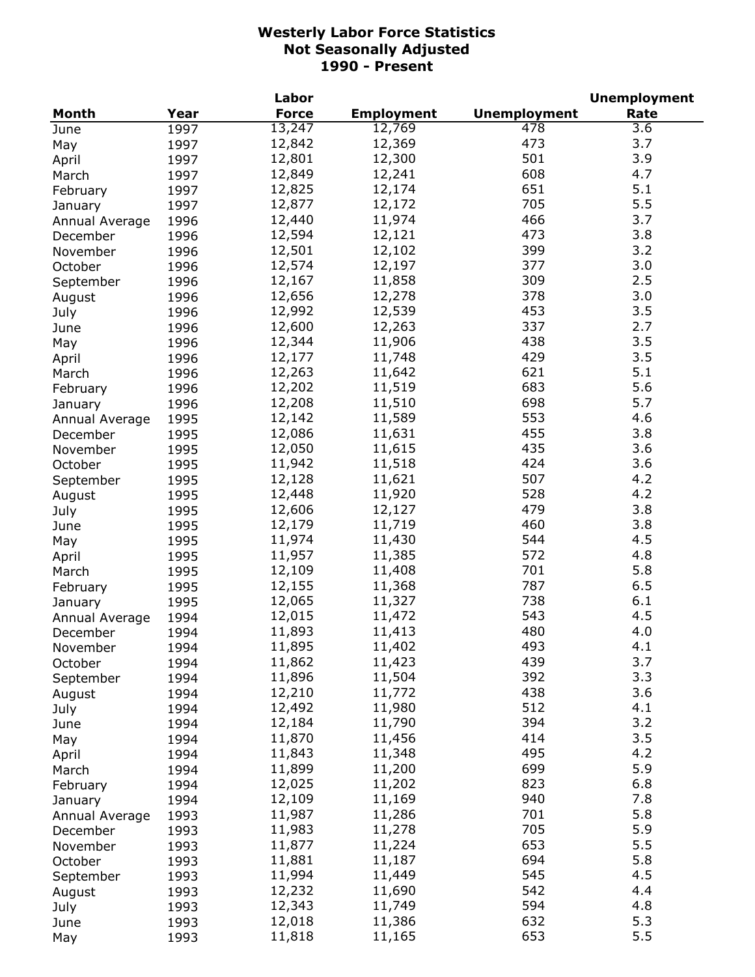|                |      | Labor        |                   |                     | <b>Unemployment</b> |
|----------------|------|--------------|-------------------|---------------------|---------------------|
| Month          | Year | <b>Force</b> | <b>Employment</b> | <b>Unemployment</b> | Rate                |
| June           | 1997 | 13,247       | 12,769            | 478                 | $\overline{3.6}$    |
| May            | 1997 | 12,842       | 12,369            | 473                 | 3.7                 |
| April          | 1997 | 12,801       | 12,300            | 501                 | 3.9                 |
| March          | 1997 | 12,849       | 12,241            | 608                 | 4.7                 |
| February       | 1997 | 12,825       | 12,174            | 651                 | 5.1                 |
| January        | 1997 | 12,877       | 12,172            | 705                 | 5.5                 |
| Annual Average | 1996 | 12,440       | 11,974            | 466                 | 3.7                 |
| December       | 1996 | 12,594       | 12,121            | 473                 | 3.8                 |
| November       |      | 12,501       | 12,102            | 399                 | 3.2                 |
|                | 1996 | 12,574       | 12,197            | 377                 | 3.0                 |
| October        | 1996 |              |                   | 309                 |                     |
| September      | 1996 | 12,167       | 11,858            |                     | 2.5                 |
| August         | 1996 | 12,656       | 12,278            | 378                 | 3.0                 |
| July           | 1996 | 12,992       | 12,539            | 453                 | 3.5                 |
| June           | 1996 | 12,600       | 12,263            | 337                 | 2.7                 |
| May            | 1996 | 12,344       | 11,906            | 438                 | 3.5                 |
| April          | 1996 | 12,177       | 11,748            | 429                 | 3.5                 |
| March          | 1996 | 12,263       | 11,642            | 621                 | 5.1                 |
| February       | 1996 | 12,202       | 11,519            | 683                 | 5.6                 |
| January        | 1996 | 12,208       | 11,510            | 698                 | 5.7                 |
| Annual Average | 1995 | 12,142       | 11,589            | 553                 | 4.6                 |
| December       | 1995 | 12,086       | 11,631            | 455                 | 3.8                 |
| November       | 1995 | 12,050       | 11,615            | 435                 | 3.6                 |
| October        | 1995 | 11,942       | 11,518            | 424                 | 3.6                 |
| September      | 1995 | 12,128       | 11,621            | 507                 | 4.2                 |
| August         | 1995 | 12,448       | 11,920            | 528                 | 4.2                 |
| July           | 1995 | 12,606       | 12,127            | 479                 | 3.8                 |
| June           | 1995 | 12,179       | 11,719            | 460                 | 3.8                 |
| May            | 1995 | 11,974       | 11,430            | 544                 | 4.5                 |
| April          | 1995 | 11,957       | 11,385            | 572                 | 4.8                 |
| March          | 1995 | 12,109       | 11,408            | 701                 | 5.8                 |
| February       | 1995 | 12,155       | 11,368            | 787                 | 6.5                 |
|                | 1995 | 12,065       | 11,327            | 738                 | 6.1                 |
| January        | 1994 | 12,015       | 11,472            | 543                 | 4.5                 |
| Annual Average |      | 11,893       | 11,413            | 480                 | 4.0                 |
| December       | 1994 |              |                   |                     |                     |
| November       | 1994 | 11,895       | 11,402            | 493                 | 4.1                 |
| October        | 1994 | 11,862       | 11,423            | 439                 | 3.7                 |
| September      | 1994 | 11,896       | 11,504            | 392                 | 3.3                 |
| August         | 1994 | 12,210       | 11,772            | 438                 | 3.6                 |
| July           | 1994 | 12,492       | 11,980            | 512                 | 4.1                 |
| June           | 1994 | 12,184       | 11,790            | 394                 | 3.2                 |
| May            | 1994 | 11,870       | 11,456            | 414                 | 3.5                 |
| April          | 1994 | 11,843       | 11,348            | 495                 | 4.2                 |
| March          | 1994 | 11,899       | 11,200            | 699                 | 5.9                 |
| February       | 1994 | 12,025       | 11,202            | 823                 | 6.8                 |
| January        | 1994 | 12,109       | 11,169            | 940                 | 7.8                 |
| Annual Average | 1993 | 11,987       | 11,286            | 701                 | 5.8                 |
| December       | 1993 | 11,983       | 11,278            | 705                 | 5.9                 |
| November       | 1993 | 11,877       | 11,224            | 653                 | 5.5                 |
| October        | 1993 | 11,881       | 11,187            | 694                 | 5.8                 |
| September      | 1993 | 11,994       | 11,449            | 545                 | 4.5                 |
| August         | 1993 | 12,232       | 11,690            | 542                 | 4.4                 |
| July           | 1993 | 12,343       | 11,749            | 594                 | 4.8                 |
| June           | 1993 | 12,018       | 11,386            | 632                 | 5.3                 |
| May            | 1993 | 11,818       | 11,165            | 653                 | 5.5                 |